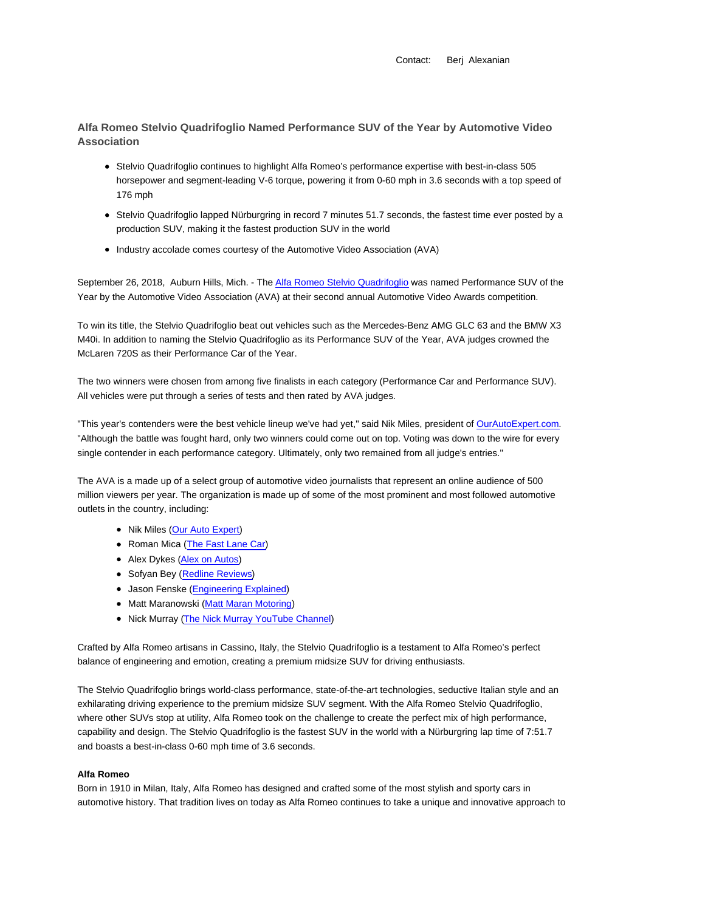Contact: Berj Alexanian

**Alfa Romeo Stelvio Quadrifoglio Named Performance SUV of the Year by Automotive Video Association**

- Stelvio Quadrifoglio continues to highlight Alfa Romeo's performance expertise with best-in-class 505 horsepower and segment-leading V-6 torque, powering it from 0-60 mph in 3.6 seconds with a top speed of 176 mph
- Stelvio Quadrifoglio lapped Nürburgring in record 7 minutes 51.7 seconds, the fastest time ever posted by a production SUV, making it the fastest production SUV in the world
- Industry accolade comes courtesy of the Automotive Video Association (AVA)

September 26, 2018, Auburn Hills, Mich. - The Alfa Romeo Stelvio Quadrifoglio was named Performance SUV of the Year by the Automotive Video Association (AVA) at their second annual Automotive Video Awards competition.

To win its title, the Stelvio Quadrifoglio beat out vehicles such as the Mercedes-Benz AMG GLC 63 and the BMW X3 M40i. In addition to naming the Stelvio Quadrifoglio as its Performance SUV of the Year, AVA judges crowned the McLaren 720S as their Performance Car of the Year.

The two winners were chosen from among five finalists in each category (Performance Car and Performance SUV). All vehicles were put through a series of tests and then rated by AVA judges.

"This year's contenders were the best vehicle lineup we've had yet," said Nik Miles, president of OurAutoExpert.com. "Although the battle was fought hard, only two winners could come out on top. Voting was down to the wire for every single contender in each performance category. Ultimately, only two remained from all judge's entries."

The AVA is a made up of a select group of automotive video journalists that represent an online audience of 500 million viewers per year. The organization is made up of some of the most prominent and most followed automotive outlets in the country, including:

- Nik Miles (Our Auto Expert)
- Roman Mica (The Fast Lane Car)
- Alex Dykes (Alex on Autos)
- Sofyan Bey (Redline Reviews)
- Jason Fenske (Engineering Explained)
- Matt Maranowski (Matt Maran Motoring)
- Nick Murray (The Nick Murray YouTube Channel)

Crafted by Alfa Romeo artisans in Cassino, Italy, the Stelvio Quadrifoglio is a testament to Alfa Romeo's perfect balance of engineering and emotion, creating a premium midsize SUV for driving enthusiasts.

The Stelvio Quadrifoglio brings world-class performance, state-of-the-art technologies, seductive Italian style and an exhilarating driving experience to the premium midsize SUV segment. With the Alfa Romeo Stelvio Quadrifoglio, where other SUVs stop at utility, Alfa Romeo took on the challenge to create the perfect mix of high performance, capability and design. The Stelvio Quadrifoglio is the fastest SUV in the world with a Nürburgring lap time of 7:51.7 and boasts a best-in-class 0-60 mph time of 3.6 seconds.

## **Alfa Romeo**

Born in 1910 in Milan, Italy, Alfa Romeo has designed and crafted some of the most stylish and sporty cars in automotive history. That tradition lives on today as Alfa Romeo continues to take a unique and innovative approach to